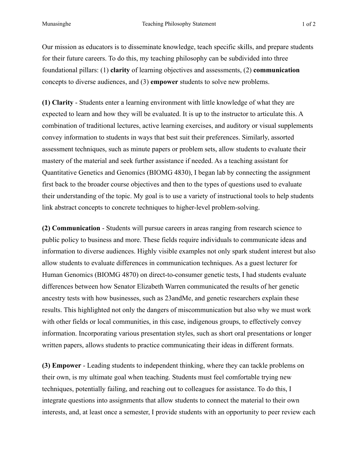Our mission as educators is to disseminate knowledge, teach specific skills, and prepare students for their future careers. To do this, my teaching philosophy can be subdivided into three foundational pillars: (1) **clarity** of learning objectives and assessments, (2) **communication**  concepts to diverse audiences, and (3) **empower** students to solve new problems.

**(1) Clarity** - Students enter a learning environment with little knowledge of what they are expected to learn and how they will be evaluated. It is up to the instructor to articulate this. A combination of traditional lectures, active learning exercises, and auditory or visual supplements convey information to students in ways that best suit their preferences. Similarly, assorted assessment techniques, such as minute papers or problem sets, allow students to evaluate their mastery of the material and seek further assistance if needed. As a teaching assistant for Quantitative Genetics and Genomics (BIOMG 4830), I began lab by connecting the assignment first back to the broader course objectives and then to the types of questions used to evaluate their understanding of the topic. My goal is to use a variety of instructional tools to help students link abstract concepts to concrete techniques to higher-level problem-solving.

**(2) Communication** - Students will pursue careers in areas ranging from research science to public policy to business and more. These fields require individuals to communicate ideas and information to diverse audiences. Highly visible examples not only spark student interest but also allow students to evaluate differences in communication techniques. As a guest lecturer for Human Genomics (BIOMG 4870) on direct-to-consumer genetic tests, I had students evaluate differences between how Senator Elizabeth Warren communicated the results of her genetic ancestry tests with how businesses, such as 23andMe, and genetic researchers explain these results. This highlighted not only the dangers of miscommunication but also why we must work with other fields or local communities, in this case, indigenous groups, to effectively convey information. Incorporating various presentation styles, such as short oral presentations or longer written papers, allows students to practice communicating their ideas in different formats.

**(3) Empower** - Leading students to independent thinking, where they can tackle problems on their own, is my ultimate goal when teaching. Students must feel comfortable trying new techniques, potentially failing, and reaching out to colleagues for assistance. To do this, I integrate questions into assignments that allow students to connect the material to their own interests, and, at least once a semester, I provide students with an opportunity to peer review each